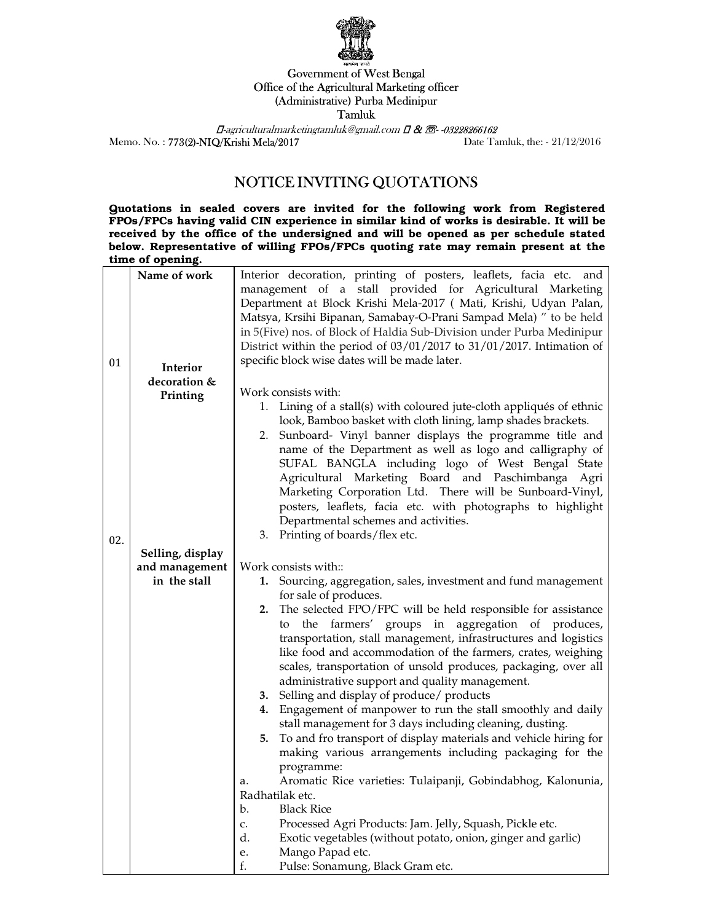

## Government of West Bengal Office of the Agricultural Marketing officer (Administrative) Purba Medinipur Tamluk

 $\Box$ -agriculturalmarketingtamluk@gmail.com  $\Box$  &  $\Box$ -03228266162 Memo. No. : 773(2)-NIQ/Krishi Mela/2017 Date Tamluk, the: - 21/12/2016

## NOTICE INVITING QUOTATIONS

Quotations in sealed covers are invited for the following work from Registered FPOs/FPCs having valid CIN experience in similar kind of works is desirable. It will be received by the office of the undersigned and will be opened as per schedule stated below. Representative of willing FPOs/FPCs quoting rate may remain present at the time of opening.

| 01  | Name of work<br>Interior | Interior decoration, printing of posters, leaflets, facia etc. and<br>management of a stall provided for Agricultural Marketing<br>Department at Block Krishi Mela-2017 ( Mati, Krishi, Udyan Palan,<br>Matsya, Krsihi Bipanan, Samabay-O-Prani Sampad Mela) " to be held<br>in 5(Five) nos. of Block of Haldia Sub-Division under Purba Medinipur<br>District within the period of 03/01/2017 to 31/01/2017. Intimation of<br>specific block wise dates will be made later. |
|-----|--------------------------|------------------------------------------------------------------------------------------------------------------------------------------------------------------------------------------------------------------------------------------------------------------------------------------------------------------------------------------------------------------------------------------------------------------------------------------------------------------------------|
|     | decoration &             | Work consists with:                                                                                                                                                                                                                                                                                                                                                                                                                                                          |
|     | Printing                 | 1. Lining of a stall(s) with coloured jute-cloth appliqués of ethnic                                                                                                                                                                                                                                                                                                                                                                                                         |
|     |                          | look, Bamboo basket with cloth lining, lamp shades brackets.                                                                                                                                                                                                                                                                                                                                                                                                                 |
|     |                          | 2. Sunboard- Vinyl banner displays the programme title and                                                                                                                                                                                                                                                                                                                                                                                                                   |
|     |                          | name of the Department as well as logo and calligraphy of                                                                                                                                                                                                                                                                                                                                                                                                                    |
|     |                          | SUFAL BANGLA including logo of West Bengal State                                                                                                                                                                                                                                                                                                                                                                                                                             |
|     |                          | Agricultural Marketing Board and Paschimbanga Agri<br>Marketing Corporation Ltd. There will be Sunboard-Vinyl,                                                                                                                                                                                                                                                                                                                                                               |
|     |                          | posters, leaflets, facia etc. with photographs to highlight                                                                                                                                                                                                                                                                                                                                                                                                                  |
|     |                          | Departmental schemes and activities.                                                                                                                                                                                                                                                                                                                                                                                                                                         |
| 02. |                          | 3. Printing of boards/flex etc.                                                                                                                                                                                                                                                                                                                                                                                                                                              |
|     | Selling, display         |                                                                                                                                                                                                                                                                                                                                                                                                                                                                              |
|     | and management           | Work consists with::                                                                                                                                                                                                                                                                                                                                                                                                                                                         |
|     | in the stall             | 1. Sourcing, aggregation, sales, investment and fund management<br>for sale of produces.                                                                                                                                                                                                                                                                                                                                                                                     |
|     |                          | 2. The selected FPO/FPC will be held responsible for assistance                                                                                                                                                                                                                                                                                                                                                                                                              |
|     |                          | the farmers' groups in aggregation of produces,<br>to                                                                                                                                                                                                                                                                                                                                                                                                                        |
|     |                          | transportation, stall management, infrastructures and logistics<br>like food and accommodation of the farmers, crates, weighing                                                                                                                                                                                                                                                                                                                                              |
|     |                          | scales, transportation of unsold produces, packaging, over all                                                                                                                                                                                                                                                                                                                                                                                                               |
|     |                          | administrative support and quality management.                                                                                                                                                                                                                                                                                                                                                                                                                               |
|     |                          | 3. Selling and display of produce/ products                                                                                                                                                                                                                                                                                                                                                                                                                                  |
|     |                          | Engagement of manpower to run the stall smoothly and daily<br>4.<br>stall management for 3 days including cleaning, dusting.                                                                                                                                                                                                                                                                                                                                                 |
|     |                          | To and fro transport of display materials and vehicle hiring for<br>5.                                                                                                                                                                                                                                                                                                                                                                                                       |
|     |                          | making various arrangements including packaging for the                                                                                                                                                                                                                                                                                                                                                                                                                      |
|     |                          | programme:                                                                                                                                                                                                                                                                                                                                                                                                                                                                   |
|     |                          | Aromatic Rice varieties: Tulaipanji, Gobindabhog, Kalonunia,<br>a.                                                                                                                                                                                                                                                                                                                                                                                                           |
|     |                          | Radhatilak etc.                                                                                                                                                                                                                                                                                                                                                                                                                                                              |
|     |                          | <b>Black Rice</b><br>$\mathbf{b}$ .<br>Processed Agri Products: Jam. Jelly, Squash, Pickle etc.<br>c.                                                                                                                                                                                                                                                                                                                                                                        |
|     |                          | d.<br>Exotic vegetables (without potato, onion, ginger and garlic)                                                                                                                                                                                                                                                                                                                                                                                                           |
|     |                          | Mango Papad etc.<br>e.                                                                                                                                                                                                                                                                                                                                                                                                                                                       |
|     |                          | Pulse: Sonamung, Black Gram etc.<br>f.                                                                                                                                                                                                                                                                                                                                                                                                                                       |